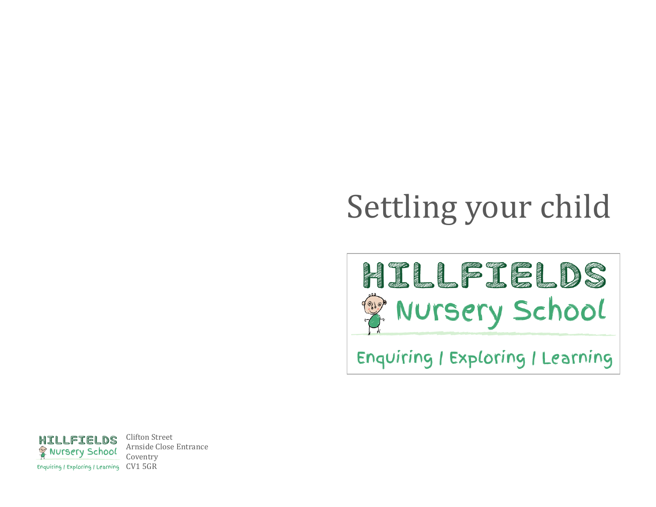# Settling your child

HILLEIELDS Nursery School

Enquiring / Exploring / Learning



Clifton Street Arnside Close Entrance Coventry Enquiring / Exploring / Learning CV1 5GR